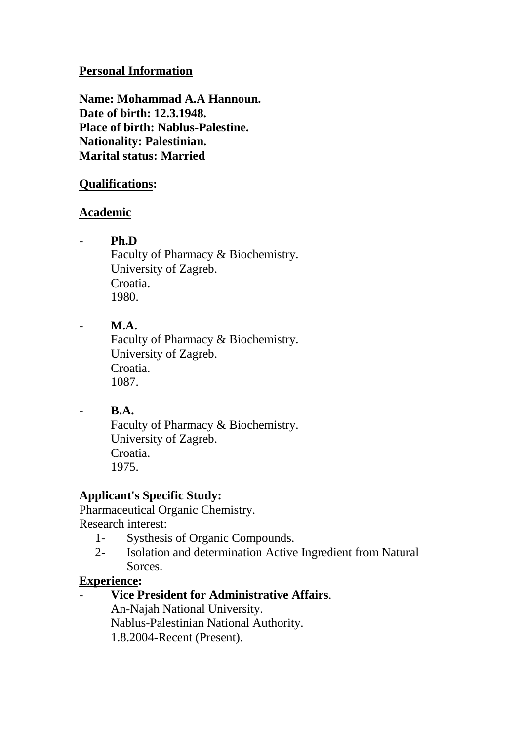#### **Personal Information**

**Name: Mohammad A.A Hannoun. Date of birth: 12.3.1948. Place of birth: Nablus-Palestine. Nationality: Palestinian. Marital status: Married**

#### **Qualifications:**

#### **Academic**

- **Ph.D**

Faculty of Pharmacy & Biochemistry. University of Zagreb. Croatia. 1980.

## - **M.A.**

Faculty of Pharmacy & Biochemistry. University of Zagreb. Croatia. 1087.

## - **B.A.**

Faculty of Pharmacy & Biochemistry. University of Zagreb. Croatia. 1975.

# **Applicant's Specific Study:**

Pharmaceutical Organic Chemistry. Research interest:

- 1- Systhesis of Organic Compounds.
- 2- Isolation and determination Active Ingredient from Natural Sorces.

## **Experience:**

- **Vice President for Administrative Affairs**.

An-Najah National University. Nablus-Palestinian National Authority. 1.8.2004-Recent (Present).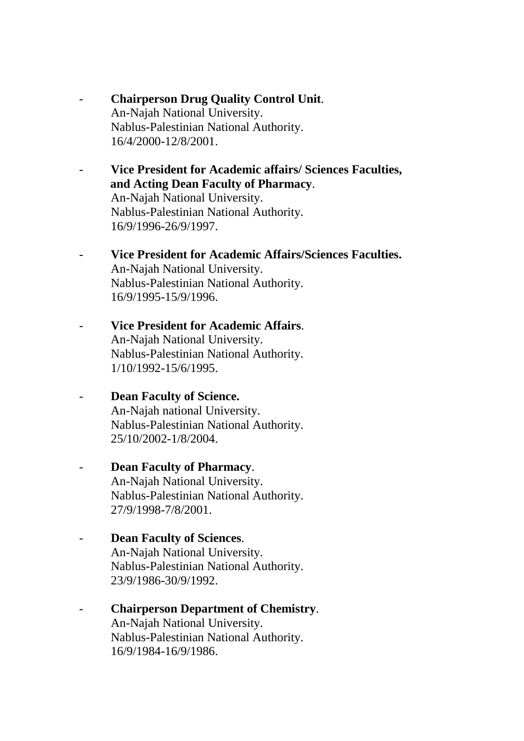- **Chairperson Drug Quality Control Unit**. An-Najah National University. Nablus-Palestinian National Authority. 16/4/2000-12/8/2001.
- **Vice President for Academic affairs/ Sciences Faculties, and Acting Dean Faculty of Pharmacy**. An-Najah National University. Nablus-Palestinian National Authority.

16/9/1996-26/9/1997.

- **Vice President for Academic Affairs/Sciences Faculties.** An-Najah National University. Nablus-Palestinian National Authority. 16/9/1995-15/9/1996.
- **Vice President for Academic Affairs**. An-Najah National University. Nablus-Palestinian National Authority. 1/10/1992-15/6/1995.
- **Dean Faculty of Science.** An-Najah national University. Nablus-Palestinian National Authority. 25/10/2002-1/8/2004.
- **Dean Faculty of Pharmacy**. An-Najah National University. Nablus-Palestinian National Authority. 27/9/1998-7/8/2001.
- **Dean Faculty of Sciences**. An-Najah National University. Nablus-Palestinian National Authority. 23/9/1986-30/9/1992.
- **Chairperson Department of Chemistry**. An-Najah National University. Nablus-Palestinian National Authority. 16/9/1984-16/9/1986.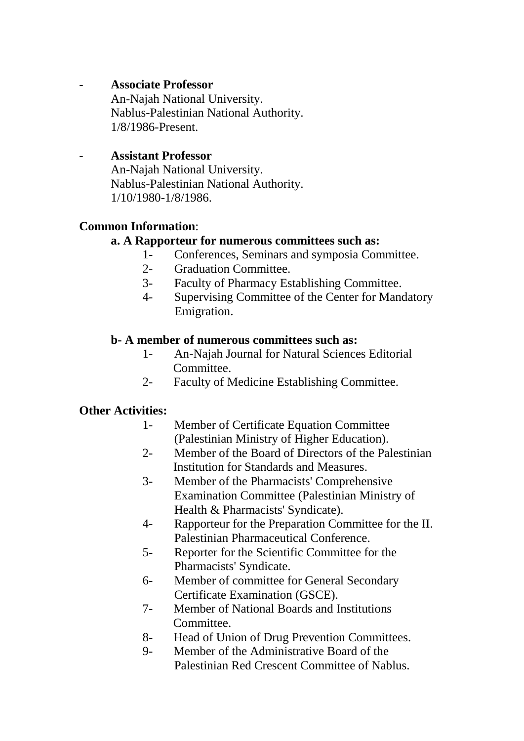## - **Associate Professor**

An-Najah National University. Nablus-Palestinian National Authority. 1/8/1986-Present.

## - **Assistant Professor**

An-Najah National University. Nablus-Palestinian National Authority. 1/10/1980-1/8/1986.

## **Common Information**:

## **a. A Rapporteur for numerous committees such as:**

- 1- Conferences, Seminars and symposia Committee.
- 2- Graduation Committee.
- 3- Faculty of Pharmacy Establishing Committee.
- 4- Supervising Committee of the Center for Mandatory Emigration.

#### **b- A member of numerous committees such as:**

- 1- An-Najah Journal for Natural Sciences Editorial Committee.
- 2- Faculty of Medicine Establishing Committee.

## **Other Activities:**

- 1- Member of Certificate Equation Committee (Palestinian Ministry of Higher Education).
- 2- Member of the Board of Directors of the Palestinian Institution for Standards and Measures.
- 3- Member of the Pharmacists' Comprehensive Examination Committee (Palestinian Ministry of Health & Pharmacists' Syndicate).
- 4- Rapporteur for the Preparation Committee for the II. Palestinian Pharmaceutical Conference.
- 5- Reporter for the Scientific Committee for the Pharmacists' Syndicate.
- 6- Member of committee for General Secondary Certificate Examination (GSCE).
- 7- Member of National Boards and Institutions **Committee**
- 8- Head of Union of Drug Prevention Committees.
- 9- Member of the Administrative Board of the Palestinian Red Crescent Committee of Nablus.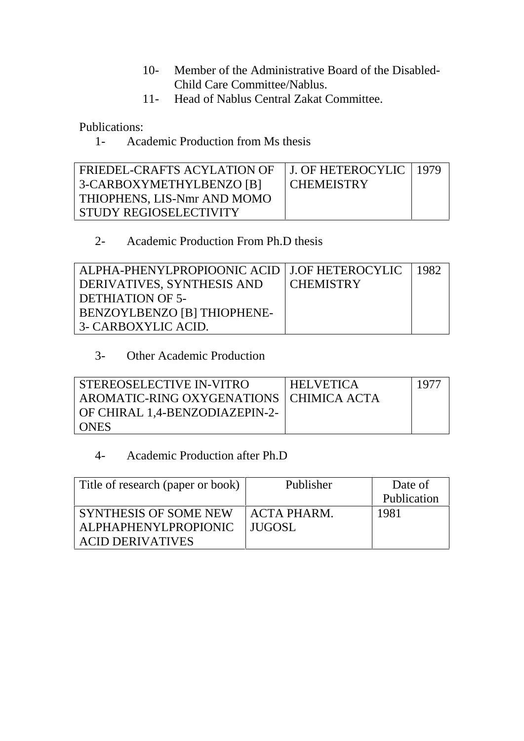- 10- Member of the Administrative Board of the Disabled- Child Care Committee/Nablus.
- 11- Head of Nablus Central Zakat Committee.

Publications:

1- Academic Production from Ms thesis

| FRIEDEL-CRAFTS ACYLATION OF<br>3-CARBOXYMETHYLBENZO [B] | J. OF HETEROCYLIC   1979<br><b>CHEMEISTRY</b> |  |
|---------------------------------------------------------|-----------------------------------------------|--|
| THIOPHENS, LIS-Nmr AND MOMO                             |                                               |  |
| STUDY REGIOSELECTIVITY                                  |                                               |  |

## 2- Academic Production From Ph.D thesis

| ALPHA-PHENYLPROPIOONIC ACID   J.OF HETEROCYLIC |                  | -1982 |
|------------------------------------------------|------------------|-------|
| DERIVATIVES, SYNTHESIS AND                     | <b>CHEMISTRY</b> |       |
| DETHIATION OF 5-                               |                  |       |
| BENZOYLBENZO [B] THIOPHENE-                    |                  |       |
| 3- CARBOXYLIC ACID.                            |                  |       |

# 3- Other Academic Production

| STEREOSELECTIVE IN-VITRO                  | <b>HELVETICA</b> | -1977 |  |
|-------------------------------------------|------------------|-------|--|
| AROMATIC-RING OXYGENATIONS   CHIMICA ACTA |                  |       |  |
| OF CHIRAL 1,4-BENZODIAZEPIN-2-            |                  |       |  |
| <b>ONES</b>                               |                  |       |  |

# 4- Academic Production after Ph.D

| Title of research (paper or book) | Publisher          | Date of     |  |
|-----------------------------------|--------------------|-------------|--|
|                                   |                    | Publication |  |
| <b>SYNTHESIS OF SOME NEW</b>      | <b>ACTA PHARM.</b> | 1981        |  |
| <b>ALPHAPHENYLPROPIONIC</b>       | LIUGOSL            |             |  |
| <b>ACID DERIVATIVES</b>           |                    |             |  |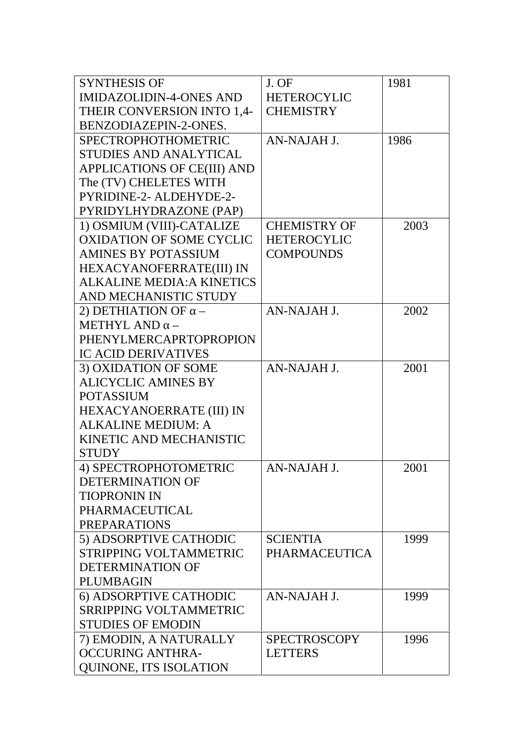| <b>SYNTHESIS OF</b>               | J. OF                | 1981 |
|-----------------------------------|----------------------|------|
| <b>IMIDAZOLIDIN-4-ONES AND</b>    | <b>HETEROCYLIC</b>   |      |
| THEIR CONVERSION INTO 1,4-        | <b>CHEMISTRY</b>     |      |
| BENZODIAZEPIN-2-ONES.             |                      |      |
| <b>SPECTROPHOTHOMETRIC</b>        | AN-NAJAH J.          | 1986 |
| <b>STUDIES AND ANALYTICAL</b>     |                      |      |
| APPLICATIONS OF CE(III) AND       |                      |      |
| The (TV) CHELETES WITH            |                      |      |
| PYRIDINE-2- ALDEHYDE-2-           |                      |      |
| PYRIDYLHYDRAZONE (PAP)            |                      |      |
| 1) OSMIUM (VIII)-CATALIZE         | <b>CHEMISTRY OF</b>  | 2003 |
| <b>OXIDATION OF SOME CYCLIC</b>   | <b>HETEROCYLIC</b>   |      |
| <b>AMINES BY POTASSIUM</b>        | <b>COMPOUNDS</b>     |      |
| HEXACYANOFERRATE(III) IN          |                      |      |
| <b>ALKALINE MEDIA: A KINETICS</b> |                      |      |
| AND MECHANISTIC STUDY             |                      |      |
| 2) DETHIATION OF                  | AN-NAJAH J.          | 2002 |
| <b>METHYL AND</b>                 |                      |      |
| <b>PHENYLMERCAPRTOPROPION</b>     |                      |      |
| <b>IC ACID DERIVATIVES</b>        |                      |      |
| 3) OXIDATION OF SOME              | AN-NAJAH J.          | 2001 |
| <b>ALICYCLIC AMINES BY</b>        |                      |      |
| <b>POTASSIUM</b>                  |                      |      |
| HEXACYANOERRATE (III) IN          |                      |      |
| <b>ALKALINE MEDIUM: A</b>         |                      |      |
| KINETIC AND MECHANISTIC           |                      |      |
| <b>STUDY</b>                      |                      |      |
| 4) SPECTROPHOTOMETRIC             | AN-NAJAH J.          | 2001 |
| DETERMINATION OF                  |                      |      |
| <b>TIOPRONIN IN</b>               |                      |      |
| PHARMACEUTICAL                    |                      |      |
| <b>PREPARATIONS</b>               |                      |      |
| 5) ADSORPTIVE CATHODIC            | <b>SCIENTIA</b>      | 1999 |
| STRIPPING VOLTAMMETRIC            | <b>PHARMACEUTICA</b> |      |
| DETERMINATION OF                  |                      |      |
| <b>PLUMBAGIN</b>                  |                      |      |
| 6) ADSORPTIVE CATHODIC            | AN-NAJAH J.          | 1999 |
| <b>SRRIPPING VOLTAMMETRIC</b>     |                      |      |
| <b>STUDIES OF EMODIN</b>          |                      |      |
| 7) EMODIN, A NATURALLY            | <b>SPECTROSCOPY</b>  | 1996 |
| <b>OCCURING ANTHRA-</b>           | <b>LETTERS</b>       |      |
| <b>QUINONE, ITS ISOLATION</b>     |                      |      |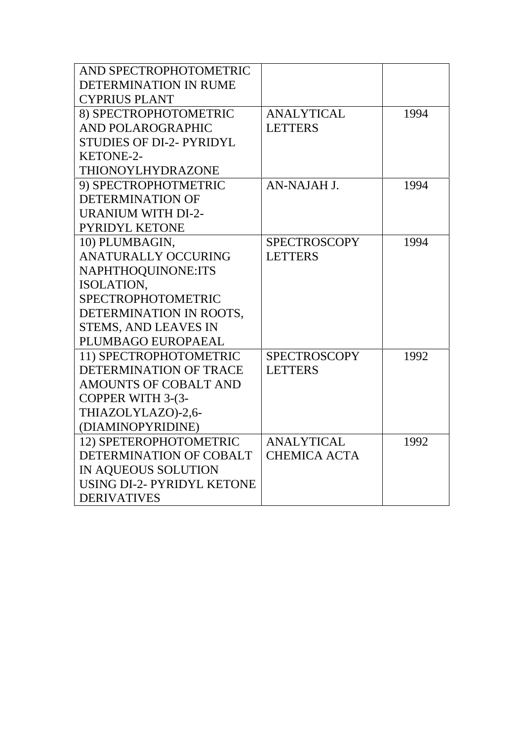| AND SPECTROPHOTOMETRIC            |                     |      |
|-----------------------------------|---------------------|------|
| DETERMINATION IN RUME             |                     |      |
| <b>CYPRIUS PLANT</b>              |                     |      |
| 8) SPECTROPHOTOMETRIC             | <b>ANALYTICAL</b>   | 1994 |
| <b>AND POLAROGRAPHIC</b>          | <b>LETTERS</b>      |      |
| <b>STUDIES OF DI-2- PYRIDYL</b>   |                     |      |
| <b>KETONE-2-</b>                  |                     |      |
| THIONOYLHYDRAZONE                 |                     |      |
| 9) SPECTROPHOTMETRIC              | AN-NAJAH J.         | 1994 |
| <b>DETERMINATION OF</b>           |                     |      |
| <b>URANIUM WITH DI-2-</b>         |                     |      |
| <b>PYRIDYL KETONE</b>             |                     |      |
| 10) PLUMBAGIN,                    | <b>SPECTROSCOPY</b> | 1994 |
| <b>ANATURALLY OCCURING</b>        | <b>LETTERS</b>      |      |
| NAPHTHOQUINONE:ITS                |                     |      |
| ISOLATION,                        |                     |      |
| <b>SPECTROPHOTOMETRIC</b>         |                     |      |
| DETERMINATION IN ROOTS,           |                     |      |
| <b>STEMS, AND LEAVES IN</b>       |                     |      |
| PLUMBAGO EUROPAEAL                |                     |      |
| 11) SPECTROPHOTOMETRIC            | <b>SPECTROSCOPY</b> | 1992 |
| <b>DETERMINATION OF TRACE</b>     | <b>LETTERS</b>      |      |
| AMOUNTS OF COBALT AND             |                     |      |
| COPPER WITH 3-(3-                 |                     |      |
| THIAZOLYLAZO)-2,6-                |                     |      |
| (DIAMINOPYRIDINE)                 |                     |      |
| 12) SPETEROPHOTOMETRIC            | <b>ANALYTICAL</b>   | 1992 |
| DETERMINATION OF COBALT           | <b>CHEMICA ACTA</b> |      |
| IN AQUEOUS SOLUTION               |                     |      |
| <b>USING DI-2- PYRIDYL KETONE</b> |                     |      |
| <b>DERIVATIVES</b>                |                     |      |